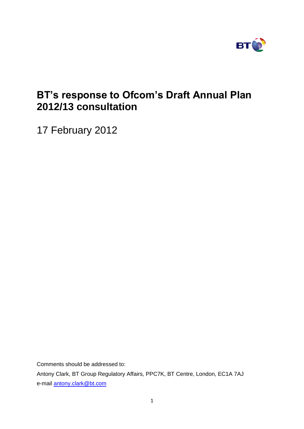

# **BT's response to Ofcom's Draft Annual Plan 2012/13 consultation**

17 February 2012

Comments should be addressed to: Antony Clark, BT Group Regulatory Affairs, PPC7K, BT Centre, London, EC1A 7AJ

e-mail [antony.clark@bt.com](mailto:antony.clark@bt.com)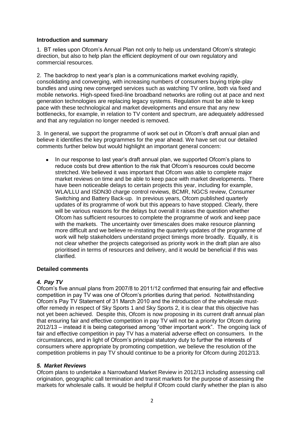#### **Introduction and summary**

1. BT relies upon Ofcom's Annual Plan not only to help us understand Ofcom's strategic direction, but also to help plan the efficient deployment of our own regulatory and commercial resources.

2. The backdrop to next year's plan is a communications market evolving rapidly, consolidating and converging, with increasing numbers of consumers buying triple-play bundles and using new converged services such as watching TV online, both via fixed and mobile networks. High-speed fixed-line broadband networks are rolling out at pace and next generation technologies are replacing legacy systems. Regulation must be able to keep pace with these technological and market developments and ensure that any new bottlenecks, for example, in relation to TV content and spectrum, are adequately addressed and that any regulation no longer needed is removed.

3. In general, we support the programme of work set out in Ofcom's draft annual plan and believe it identifies the key programmes for the year ahead. We have set out our detailed comments further below but would highlight an important general concern:

In our response to last year's draft annual plan, we supported Ofcom's plans to reduce costs but drew attention to the risk that Ofcom's resources could become stretched. We believed it was important that Ofcom was able to complete major market reviews on time and be able to keep pace with market developments. There have been noticeable delays to certain projects this year, including for example, WLA/LLU and ISDN30 charge control reviews, BCMR, NGCS review, Consumer Switching and Battery Back-up. In previous years, Ofcom published quarterly updates of its programme of work but this appears to have stopped. Clearly, there will be various reasons for the delays but overall it raises the question whether Ofcom has sufficient resources to complete the programme of work and keep pace with the markets. The uncertainty over timescales does make resource planning more difficult and we believe re-instating the quarterly updates of the programme of work will help stakeholders understand project timings more broadly. Equally, it is not clear whether the projects categorised as priority work in the draft plan are also prioritised in terms of resources and delivery, and it would be beneficial if this was clarified.

## **Detailed comments**

## *4. Pay TV*

Ofcom's five annual plans from 2007/8 to 2011/12 confirmed that ensuring fair and effective competition in pay TV was one of Ofcom's priorities during that period. Notwithstanding Ofcom's Pay TV Statement of 31 March 2010 and the introduction of the wholesale mustoffer remedy in respect of Sky Sports 1 and Sky Sports 2, it is clear that this objective has not yet been achieved. Despite this, Ofcom is now proposing in its current draft annual plan that ensuring fair and effective competition in pay TV will not be a priority for Ofcom during 2012/13 – instead it is being categorised among "other important work". The ongoing lack of fair and effective competition in pay TV has a material adverse effect on consumers. In the circumstances, and in light of Ofcom's principal statutory duty to further the interests of consumers where appropriate by promoting competition, we believe the resolution of the competition problems in pay TV should continue to be a priority for Ofcom during 2012/13.

## *5. Market Reviews*

Ofcom plans to undertake a Narrowband Market Review in 2012/13 including assessing call origination, geographic call termination and transit markets for the purpose of assessing the markets for wholesale calls. It would be helpful if Ofcom could clarify whether the plan is also